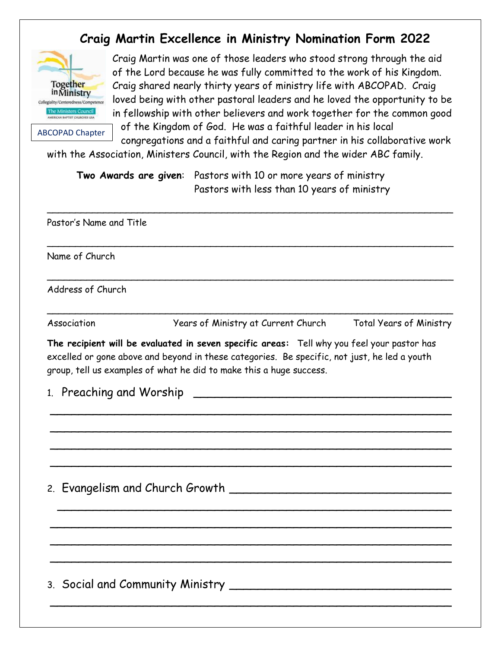## **Craig Martin Excellence in Ministry Nomination Form 2022**



Craig Martin was one of those leaders who stood strong through the aid of the Lord because he was fully committed to the work of his Kingdom. Craig shared nearly thirty years of ministry life with ABCOPAD. Craig loved being with other pastoral leaders and he loved the opportunity to be in fellowship with other believers and work together for the common good

ABCOPAD Chapter

of the Kingdom of God. He was a faithful leader in his local congregations and a faithful and caring partner in his collaborative work

with the Association, Ministers Council, with the Region and the wider ABC family.

**Two Awards are given**: Pastors with 10 or more years of ministry Pastors with less than 10 years of ministry

 $\overline{\phantom{a}}$  , and the contract of the contract of the contract of the contract of the contract of the contract of the contract of the contract of the contract of the contract of the contract of the contract of the contrac

 $\overline{\phantom{a}}$  , and the contract of the contract of the contract of the contract of the contract of the contract of the contract of the contract of the contract of the contract of the contract of the contract of the contrac

 $\overline{\phantom{a}}$  , and the contract of the contract of the contract of the contract of the contract of the contract of the contract of the contract of the contract of the contract of the contract of the contract of the contrac

\_\_\_\_\_\_\_\_\_\_\_\_\_\_\_\_\_\_\_\_\_\_\_\_\_\_\_\_\_\_\_\_\_\_\_\_\_\_\_\_\_\_\_\_\_\_\_\_\_\_\_\_\_\_\_\_\_\_\_\_\_\_\_\_\_\_\_\_\_\_\_\_

Pastor's Name and Title

Name of Church

Address of Church

Association Years of Ministry at Current Church Total Years of Ministry

**The recipient will be evaluated in seven specific areas:** Tell why you feel your pastor has excelled or gone above and beyond in these categories. Be specific, not just, he led a youth group, tell us examples of what he did to make this a huge success.

\_\_\_\_\_\_\_\_\_\_\_\_\_\_\_\_\_\_\_\_\_\_\_\_\_\_\_\_\_\_\_\_\_\_\_\_\_\_\_\_\_\_\_\_\_\_\_\_\_\_\_\_\_\_\_\_

\_\_\_\_\_\_\_\_\_\_\_\_\_\_\_\_\_\_\_\_\_\_\_\_\_\_\_\_\_\_\_\_\_\_\_\_\_\_\_\_\_\_\_\_\_\_\_\_\_\_\_\_\_\_\_\_

\_\_\_\_\_\_\_\_\_\_\_\_\_\_\_\_\_\_\_\_\_\_\_\_\_\_\_\_\_\_\_\_\_\_\_\_\_\_\_\_\_\_\_\_\_\_\_\_\_\_\_\_\_\_\_\_

\_\_\_\_\_\_\_\_\_\_\_\_\_\_\_\_\_\_\_\_\_\_\_\_\_\_\_\_\_\_\_\_\_\_\_\_\_\_\_\_\_\_\_\_\_\_\_\_\_\_\_\_\_\_\_\_

\_\_\_\_\_\_\_\_\_\_\_\_\_\_\_\_\_\_\_\_\_\_\_\_\_\_\_\_\_\_\_\_\_\_\_\_\_\_\_\_\_\_\_\_\_\_\_\_\_\_\_\_\_\_\_

\_\_\_\_\_\_\_\_\_\_\_\_\_\_\_\_\_\_\_\_\_\_\_\_\_\_\_\_\_\_\_\_\_\_\_\_\_\_\_\_\_\_\_\_\_\_\_\_\_\_\_\_\_\_\_\_

\_\_\_\_\_\_\_\_\_\_\_\_\_\_\_\_\_\_\_\_\_\_\_\_\_\_\_\_\_\_\_\_\_\_\_\_\_\_\_\_\_\_\_\_\_\_\_\_\_\_\_\_\_\_\_\_

\_\_\_\_\_\_\_\_\_\_\_\_\_\_\_\_\_\_\_\_\_\_\_\_\_\_\_\_\_\_\_\_\_\_\_\_\_\_\_\_\_\_\_\_\_\_\_\_\_\_\_\_\_\_\_\_

\_\_\_\_\_\_\_\_\_\_\_\_\_\_\_\_\_\_\_\_\_\_\_\_\_\_\_\_\_\_\_\_\_\_\_\_\_\_\_\_\_\_\_\_\_\_\_\_\_\_\_\_\_\_\_\_

1. Preaching and Worship \_\_\_\_\_\_\_\_\_\_\_\_\_\_\_\_\_\_\_\_\_\_\_\_\_\_\_\_\_\_\_\_\_\_\_\_

2. Evangelism and Church Growth \_\_\_\_\_\_\_\_\_\_\_\_\_\_\_\_\_\_\_\_\_\_\_\_\_\_\_\_\_\_\_

3. Social and Community Ministry \_\_\_\_\_\_\_\_\_\_\_\_\_\_\_\_\_\_\_\_\_\_\_\_\_\_\_\_\_\_\_